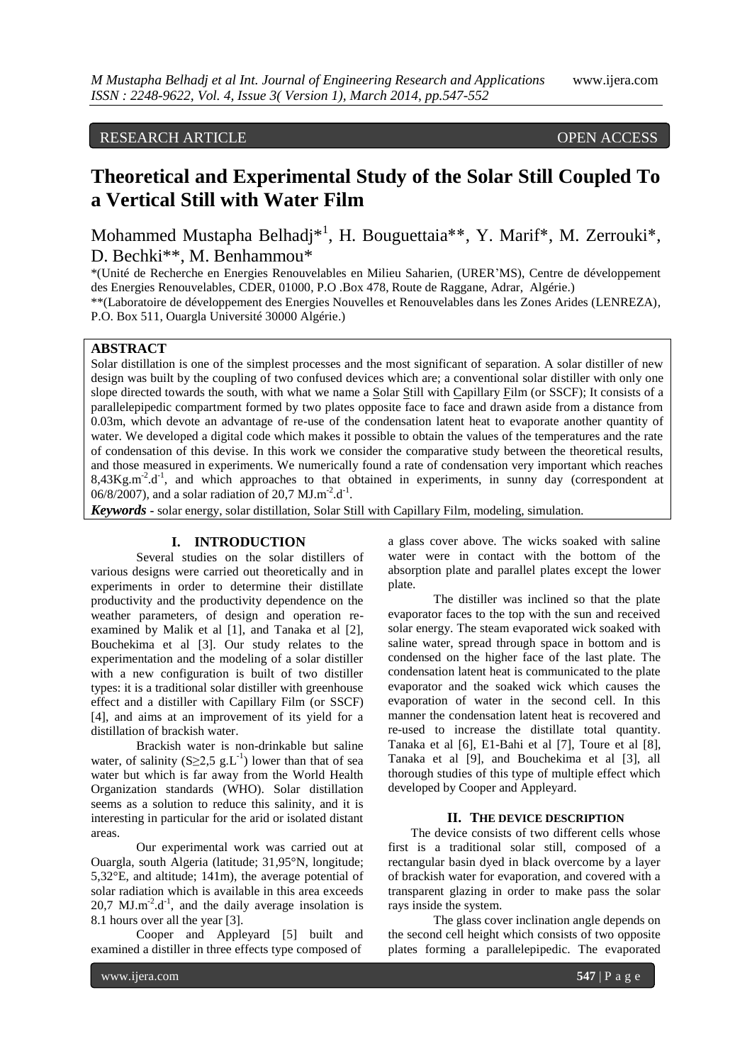# RESEARCH ARTICLE OPEN ACCESS

# **Theoretical and Experimental Study of the Solar Still Coupled To a Vertical Still with Water Film**

Mohammed Mustapha Belhadj<sup>\*1</sup>, H. Bouguettaia<sup>\*\*</sup>, Y. Marif<sup>\*</sup>, M. Zerrouki<sup>\*</sup>, D. Bechki\*\*, M. Benhammou\*

\*(Unité de Recherche en Energies Renouvelables en Milieu Saharien, (URER'MS), Centre de développement des Energies Renouvelables, CDER, 01000, P.O .Box 478, Route de Raggane, Adrar, Algérie.)

\*\*(Laboratoire de développement des Energies Nouvelles et Renouvelables dans les Zones Arides (LENREZA), P.O. Box 511, Ouargla Université 30000 Algérie.)

# **ABSTRACT**

Solar distillation is one of the simplest processes and the most significant of separation. A solar distiller of new design was built by the coupling of two confused devices which are; a conventional solar distiller with only one slope directed towards the south, with what we name a Solar Still with Capillary Film (or SSCF); It consists of a parallelepipedic compartment formed by two plates opposite face to face and drawn aside from a distance from 0.03m, which devote an advantage of re-use of the condensation latent heat to evaporate another quantity of water. We developed a digital code which makes it possible to obtain the values of the temperatures and the rate of condensation of this devise. In this work we consider the comparative study between the theoretical results, and those measured in experiments. We numerically found a rate of condensation very important which reaches 8,43Kg.m<sup>-2</sup>.d<sup>-1</sup>, and which approaches to that obtained in experiments, in sunny day (correspondent at 06/8/2007), and a solar radiation of 20,7 MJ.m<sup>-2</sup>.d<sup>-1</sup>.

*Keywords* **-** solar energy, solar distillation, Solar Still with Capillary Film, modeling, simulation*.*

# **I. INTRODUCTION**

Several studies on the solar distillers of various designs were carried out theoretically and in experiments in order to determine their distillate productivity and the productivity dependence on the weather parameters, of design and operation reexamined by Malik et al [1], and Tanaka et al [2], Bouchekima et al [3]. Our study relates to the experimentation and the modeling of a solar distiller with a new configuration is built of two distiller types: it is a traditional solar distiller with greenhouse effect and a distiller with Capillary Film (or SSCF) [4], and aims at an improvement of its yield for a distillation of brackish water.

Brackish water is non-drinkable but saline water, of salinity  $(S \geq 2, 5 \text{ g.L}^{-1})$  lower than that of sea water but which is far away from the World Health Organization standards (WHO). Solar distillation seems as a solution to reduce this salinity, and it is interesting in particular for the arid or isolated distant areas.

Our experimental work was carried out at Ouargla, south Algeria (latitude; 31,95°N, longitude; 5,32°E, and altitude; 141m), the average potential of solar radiation which is available in this area exceeds  $20,7$  MJ.m<sup>-2</sup>.d<sup>-1</sup>, and the daily average insolation is 8.1 hours over all the year [3].

Cooper and Appleyard [5] built and examined a distiller in three effects type composed of

a glass cover above. The wicks soaked with saline water were in contact with the bottom of the absorption plate and parallel plates except the lower plate.

The distiller was inclined so that the plate evaporator faces to the top with the sun and received solar energy. The steam evaporated wick soaked with saline water, spread through space in bottom and is condensed on the higher face of the last plate. The condensation latent heat is communicated to the plate evaporator and the soaked wick which causes the evaporation of water in the second cell. In this manner the condensation latent heat is recovered and re-used to increase the distillate total quantity. Tanaka et al [6], E1-Bahi et al [7], Toure et al [8], Tanaka et al [9], and Bouchekima et al [3], all thorough studies of this type of multiple effect which developed by Cooper and Appleyard.

#### **II. THE DEVICE DESCRIPTION**

The device consists of two different cells whose first is a traditional solar still, composed of a rectangular basin dyed in black overcome by a layer of brackish water for evaporation, and covered with a transparent glazing in order to make pass the solar rays inside the system.

The glass cover inclination angle depends on the second cell height which consists of two opposite plates forming a parallelepipedic. The evaporated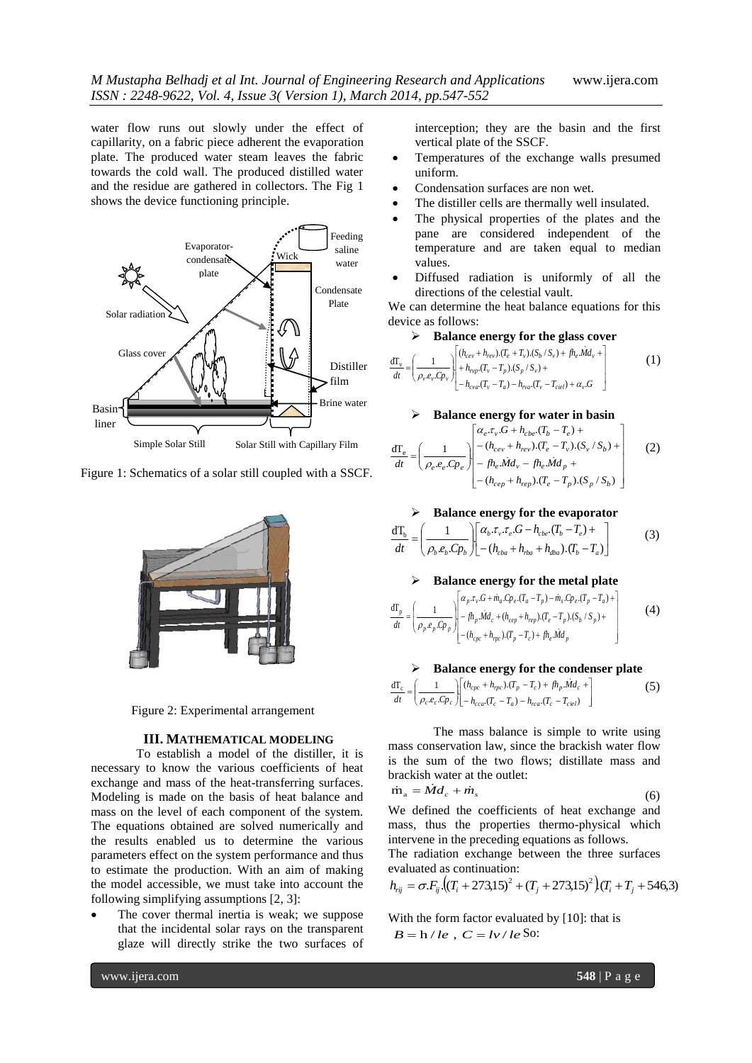water flow runs out slowly under the effect of capillarity, on a fabric piece adherent the evaporation plate. The produced water steam leaves the fabric towards the cold wall. The produced distilled water and the residue are gathered in collectors. The Fig 1 shows the device functioning principle.



Figure 1: Schematics of a solar still coupled with a SSCF.





## **III. MATHEMATICAL MODELING**

To establish a model of the distiller, it is necessary to know the various coefficients of heat exchange and mass of the heat-transferring surfaces. Modeling is made on the basis of heat balance and mass on the level of each component of the system. The equations obtained are solved numerically and the results enabled us to determine the various parameters effect on the system performance and thus to estimate the production. With an aim of making the model accessible, we must take into account the following simplifying assumptions [2, 3]:

 The cover thermal inertia is weak; we suppose that the incidental solar rays on the transparent glaze will directly strike the two surfaces of interception; they are the basin and the first vertical plate of the SSCF.

- Temperatures of the exchange walls presumed uniform.
- Condensation surfaces are non wet.
- The distiller cells are thermally well insulated.
- The physical properties of the plates and the pane are considered independent of the temperature and are taken equal to median values.
- Diffused radiation is uniformly of all the directions of the celestial vault.

We can determine the heat balance equations for this device as follows:

## **Balance energy for the glass cover**

$$
\frac{d\Gamma_{v}}{dt} = \left(\frac{1}{\rho_{v}e_{v}Cp_{v}}\right)\left[\begin{array}{c} (h_{cev} + h_{rev}) \cdot (T_{e} + T_{v}) \cdot (S_{b} / S_{v}) + f h_{e} \cdot Md_{v} + \\ + h_{\rho_{v}p} \cdot (T_{v} - T_{p}) \cdot (S_{p} / S_{v}) + \\ - h_{\text{cva}} \cdot (T_{v} - T_{a}) - h_{\text{vac}} \cdot (T_{v} - T_{\text{ciel}}) + \alpha_{v} \cdot G \end{array}\right) \tag{1}
$$

#### **Balance energy for water in basin**

$$
\frac{d\mathbf{T}_{e}}{dt} = \left(\frac{1}{\rho_{e}e_{e}C p_{e}}\right)\begin{bmatrix} \alpha_{e}.\tau_{v}.G + h_{cbe}.\left(T_{b} - T_{e}\right) + \\ - (h_{cev} + h_{rev}).(T_{e} - T_{v}).(S_{v}/S_{b}) + \\ - f h_{e}. \dot{M}d_{v} - f h_{e}. \dot{M}d_{p} + \\ - (h_{cep} + h_{rep}).(T_{e} - T_{p}).(S_{p}/S_{b}) \end{bmatrix}
$$
(2)

#### **Balance energy for the evaporator**

$$
\frac{d\mathbf{T}_b}{dt} = \left(\frac{1}{\rho_b.e_b.Cp_b}\right)\left[\frac{\alpha_b.\tau_v.\tau_e.G - h_{cbe}.\left(T_b - T_e\right) +}{-(h_{cba} + h_{rba} + h_{dba}).\left(T_b - T_a\right)}\right]
$$
(3)

#### **Balance energy for the metal plate**

$$
\frac{d\Gamma_p}{dt} = \left(\frac{1}{\rho_p \cdot e_p \cdot C\rho_p}\right) \begin{bmatrix} \alpha_p \cdot \tau_v \cdot G + \dot{m}_a \cdot C\rho_e \cdot (T_a - T_p) - \dot{m}_s \cdot C\rho_e \cdot (T_p - T_a) + \\ -\beta h_p \dot{M} d_c + (h_{cep} + h_{rep}) \cdot (T_e - T_p) \cdot (S_b / S_p) + \\ - (h_{cpe} + h_{rpe}) \cdot (T_p - T_c) + \beta h_e \dot{M} d_p \end{bmatrix} \tag{4}
$$

# **Balance energy for the condenser plate**

$$
\frac{d\mathbf{T}_c}{dt} = \left(\frac{1}{\rho_c \cdot e_c \cdot C p_c}\right) \left[\begin{matrix} (h_{cpc} + h_{rpc}) \cdot (T_p - T_c) + f h_p \cdot \dot{M} d_c \\ - h_{cca} (T_c - T_a) - h_{rca} (T_c - T_{ciel}) \end{matrix}\right] \tag{5}
$$

The mass balance is simple to write using mass conservation law, since the brackish water flow is the sum of the two flows; distillate mass and brackish water at the outlet:  $\dot{1}$ m

$$
a_{\rm a} = \dot{M}d_{\rm c} + \dot{m}_{\rm s} \tag{6}
$$

We defined the coefficients of heat exchange and mass, thus the properties thermo-physical which intervene in the preceding equations as follows. The radiation exchange between the three surfaces evaluated as continuation:

$$
h_{ij} = \sigma F_{ij} \cdot ((T_i + 273.15)^2 + (T_j + 273.15)^2) (T_i + T_j + 546.3)
$$

With the form factor evaluated by [10]: that is  $B = h / le$ ,  $C = l \nu / le$  So: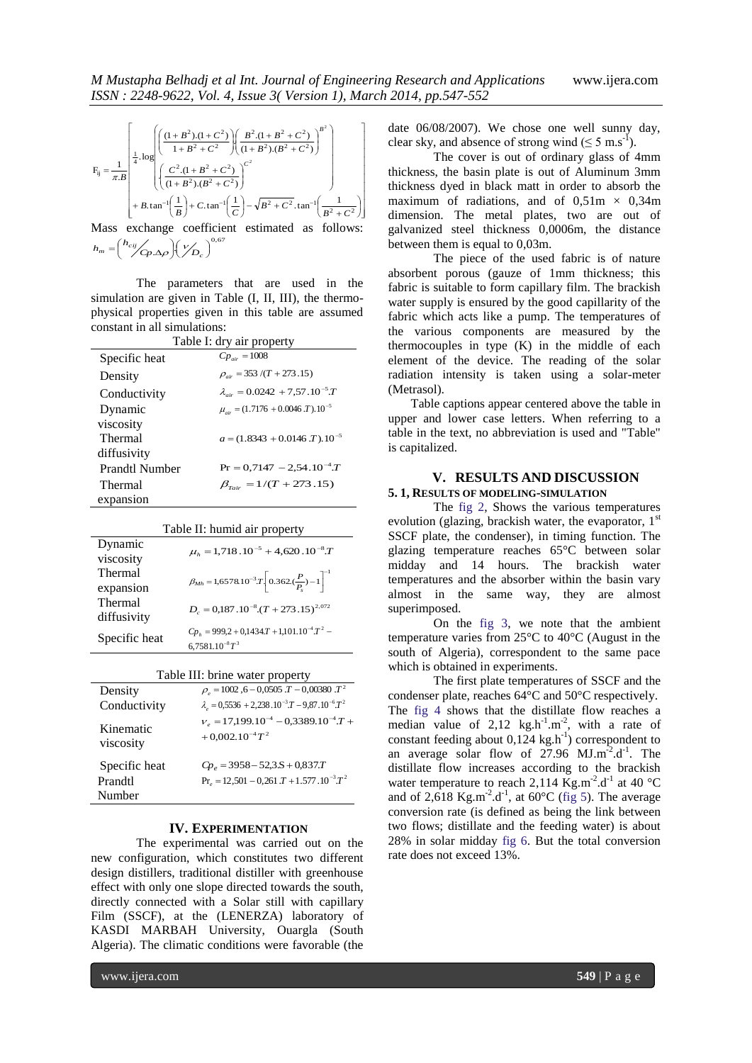$$
F_{ij} = \frac{1}{\pi B} \left[ \frac{1}{4} \cdot \log \left( \frac{\left(1 + B^2\right) \cdot (1 + C^2)}{1 + B^2 + C^2} \right) \left( \frac{B^2 \cdot (1 + B^2 + C^2)}{(1 + B^2) \cdot (B^2 + C^2)} \right)^{B^2} \right] + B \cdot \tan^{-1} \left( \frac{1}{B} \right) + C \cdot \tan^{-1} \left( \frac{1}{C} \right) - \sqrt{B^2 + C^2} \cdot \tan^{-1} \left( \frac{1}{B^2 + C^2} \right)
$$

Mass exchange coefficient estimated as follows:  $\Delta \rho \bigg) \bigg( \frac{\nu}{D_c} \bigg)^{0.67}$  $\left(\mathscr{V}_{\bm{D}_c}\right)$  $\big)$ (  $\left(\frac{h_{cij}}{\sqrt{C}p.\Delta\rho}\right)$  $h_m = \left(\frac{h_{cij}}{Cp \Delta \rho}\right)\left(\frac{V}{D_c}\right)$ 

The parameters that are used in the simulation are given in Table (I, II, III), the thermophysical properties given in this table are assumed constant in all simulations:

| Table I: dry air property |                                                         |  |
|---------------------------|---------------------------------------------------------|--|
| Specific heat             | $C p_{\text{air}} = 1008$                               |  |
| Density                   | $\rho_{\text{air}} = 353 / (T + 273.15)$                |  |
| Conductivity              | $\lambda_{\text{air}} = 0.0242 + 7{,}57.10^{-5}T$       |  |
| Dynamic                   | $\mu_{air} = (1.7176 + 0.0046 \text{ J}) \cdot 10^{-5}$ |  |
| viscosity                 |                                                         |  |
| Thermal                   | $a = (1.8343 + 0.0146 \text{ J}) \cdot 10^{-5}$         |  |
| diffusivity               |                                                         |  |
| <b>Prandtl Number</b>     | $Pr = 0.7147 - 2.54.10^{-4}T$                           |  |
| Thermal                   | $\beta_{\text{fair}} = 1/(T + 273.15)$                  |  |
| expansion                 |                                                         |  |

Table II: humid air property

| Dynamic       | $\mu_k = 1,718 \cdot 10^{-5} + 4,620 \cdot 10^{-8} \cdot T$               |
|---------------|---------------------------------------------------------------------------|
| viscosity     |                                                                           |
| Thermal       | $\beta_{Mh} = 1,6578.10^{-3}T \left[ 0.362(\frac{P}{P}) - 1 \right]^{-1}$ |
| expansion     |                                                                           |
| Thermal       | $D_c = 0.187 \cdot 10^{-8} \cdot (T + 273 \cdot 15)^{2.072}$              |
| diffusivity   |                                                                           |
| Specific heat | $Cp_{h} = 999.2 + 0.1434.T + 1.101.10^{-4}.T^{2} -$                       |
|               | $6.7581.10^{-8}T^3$                                                       |

| Table III: brine water property |  |  |  |                                     |
|---------------------------------|--|--|--|-------------------------------------|
|                                 |  |  |  | $1000 \le 0.0505 \text{ T}$ 0.00000 |

| Density                | $\rho_a = 1002$ , 6 - 0,0505. $T$ - 0,00380. $T^2$                    |
|------------------------|-----------------------------------------------------------------------|
| Conductivity           | $\lambda_e = 0.5536 + 2.238 \cdot 10^{-3} T - 9.87 \cdot 10^{-6} T^2$ |
| Kinematic<br>viscosity | $v_e = 17,199.10^{-4} - 0,3389.10^{-4}T +$<br>$+0.002.10^{-4}T^2$     |
| Specific heat          | $Cp_a = 3958 - 523.5 + 0.837. T$                                      |
| Prandtl                | $Pr_{a} = 12,501 - 0,261 \cdot T + 1.577 \cdot 10^{-3} \cdot T^{2}$   |
| Number                 |                                                                       |

#### **IV. EXPERIMENTATION**

The experimental was carried out on the new configuration, which constitutes two different design distillers, traditional distiller with greenhouse effect with only one slope directed towards the south, directly connected with a Solar still with capillary Film (SSCF), at the (LENERZA) laboratory of KASDI MARBAH University, Ouargla (South Algeria). The climatic conditions were favorable (the

date 06/08/2007). We chose one well sunny day, clear sky, and absence of strong wind  $(\leq 5 \text{ m.s}^{-1})$ .

The cover is out of ordinary glass of 4mm thickness, the basin plate is out of Aluminum 3mm thickness dyed in black matt in order to absorb the maximum of radiations, and of  $0,51m \times 0,34m$ dimension. The metal plates, two are out of galvanized steel thickness 0,0006m, the distance between them is equal to 0,03m.

The piece of the used fabric is of nature absorbent porous (gauze of 1mm thickness; this fabric is suitable to form capillary film. The brackish water supply is ensured by the good capillarity of the fabric which acts like a pump. The temperatures of the various components are measured by the thermocouples in type (K) in the middle of each element of the device. The reading of the solar radiation intensity is taken using a solar-meter (Metrasol).

Table captions appear centered above the table in upper and lower case letters. When referring to a table in the text, no abbreviation is used and "Table" is capitalized.

#### **V. RESULTS AND DISCUSSION 5. 1, RESULTS OF MODELING-SIMULATION**

The fig 2, Shows the various temperatures evolution (glazing, brackish water, the evaporator,  $1<sup>st</sup>$ SSCF plate, the condenser), in timing function. The glazing temperature reaches 65°C between solar midday and 14 hours. The brackish water temperatures and the absorber within the basin vary almost in the same way, they are almost superimposed.

On the fig 3, we note that the ambient temperature varies from 25°C to 40°C (August in the south of Algeria), correspondent to the same pace which is obtained in experiments.

The first plate temperatures of SSCF and the condenser plate, reaches 64°C and 50°C respectively. The fig 4 shows that the distillate flow reaches a median value of  $2,12 \text{ kg.h}^{-1} \text{.m}^{-2}$ , with a rate of constant feeding about  $0,124 \text{ kg.h}^{-1}$ ) correspondent to an average solar flow of  $27.96$  MJ.m<sup>-2</sup>.d<sup>-1</sup>. The distillate flow increases according to the brackish water temperature to reach 2,114  $\text{Kg.m}^{-2}$ .d<sup>-1</sup> at 40 °C and of 2,618 Kg.m<sup>-2</sup>.d<sup>-1</sup>, at 60°C (fig 5). The average conversion rate (is defined as being the link between two flows; distillate and the feeding water) is about 28% in solar midday fig 6. But the total conversion rate does not exceed 13%.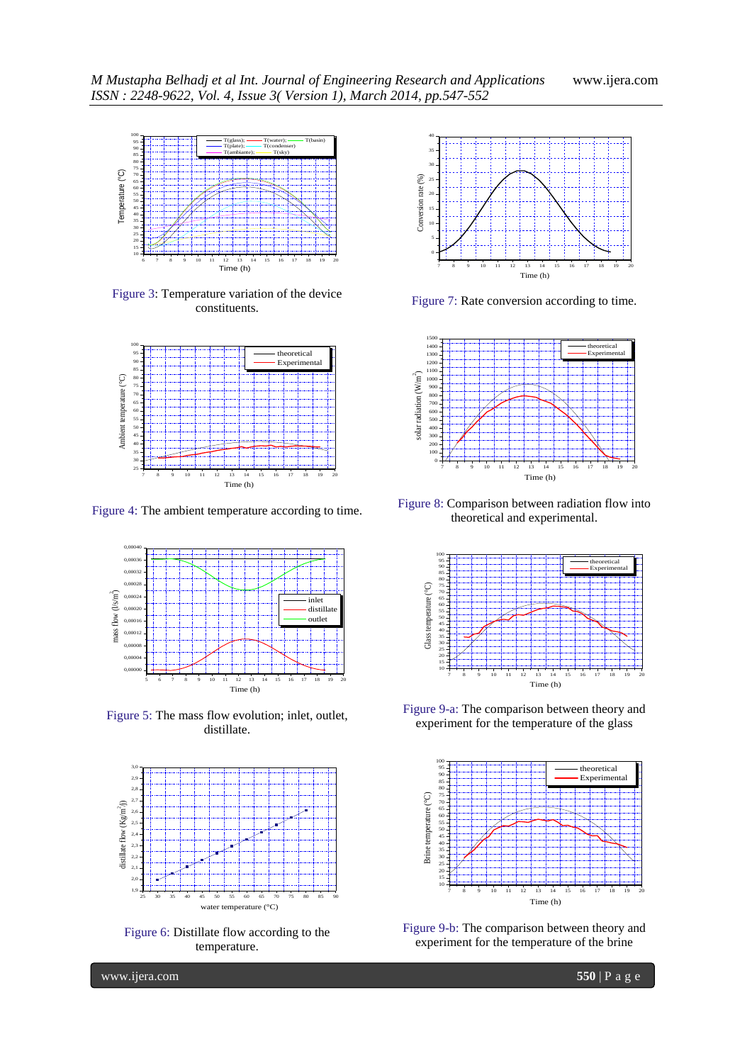

Figure 3: Temperature variation of the device constituents.



Figure 4: The ambient temperature according to time.



Figure 5: The mass flow evolution; inlet, outlet, distillate.



Figure 6: Distillate flow according to the temperature.



Figure 7: Rate conversion according to time.



Figure 8: Comparison between radiation flow into theoretical and experimental.



Figure 9-a: The comparison between theory and experiment for the temperature of the glass



Figure 9-b: The comparison between theory and experiment for the temperature of the brine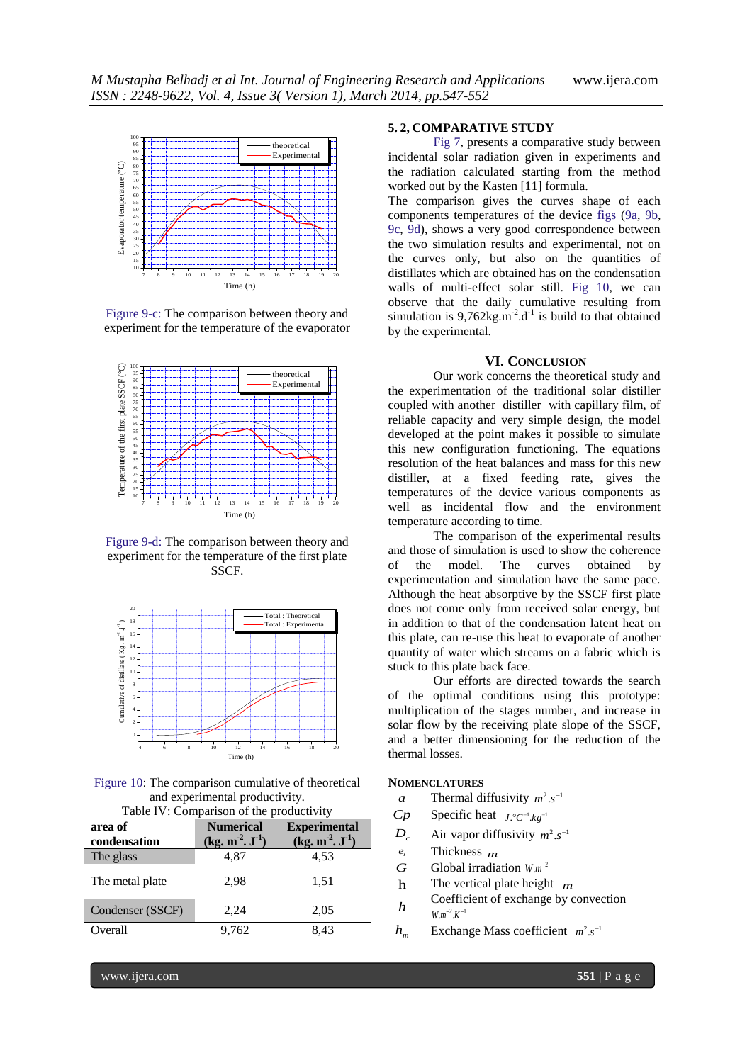

Figure 9-c: The comparison between theory and experiment for the temperature of the evaporator



Figure 9-d: The comparison between theory and experiment for the temperature of the first plate SSCF.



Figure 10: The comparison cumulative of theoretical and experimental productivity.

| Table IV: Comparison of the productivity |                  |                     |  |  |
|------------------------------------------|------------------|---------------------|--|--|
| area of                                  | <b>Numerical</b> | <b>Experimental</b> |  |  |
| condensation                             | $(kg. m2, J-1)$  | $(kg. m2, J-1)$     |  |  |
| The glass                                | 4,87             | 4.53                |  |  |
| The metal plate                          | 2,98             | 1,51                |  |  |
| Condenser (SSCF)                         | 2.24             | 2,05                |  |  |
| Overall                                  | 9,762            | 8.43                |  |  |

# **5. 2, COMPARATIVE STUDY**

Fig 7, presents a comparative study between incidental solar radiation given in experiments and the radiation calculated starting from the method worked out by the Kasten [11] formula.

The comparison gives the curves shape of each components temperatures of the device figs (9a, 9b, 9c, 9d), shows a very good correspondence between the two simulation results and experimental, not on the curves only, but also on the quantities of distillates which are obtained has on the condensation walls of multi-effect solar still. Fig 10, we can observe that the daily cumulative resulting from simulation is  $9,762\text{kg}.\text{m}^2.\text{d}^1$  is build to that obtained by the experimental.

#### **VI. CONCLUSION**

Our work concerns the theoretical study and the experimentation of the traditional solar distiller coupled with another distiller with capillary film, of reliable capacity and very simple design, the model developed at the point makes it possible to simulate this new configuration functioning. The equations resolution of the heat balances and mass for this new distiller, at a fixed feeding rate, gives the temperatures of the device various components as well as incidental flow and the environment temperature according to time.

The comparison of the experimental results and those of simulation is used to show the coherence of the model. The curves obtained by experimentation and simulation have the same pace. Although the heat absorptive by the SSCF first plate does not come only from received solar energy, but in addition to that of the condensation latent heat on this plate, can re-use this heat to evaporate of another quantity of water which streams on a fabric which is stuck to this plate back face.

Our efforts are directed towards the search of the optimal conditions using this prototype: multiplication of the stages number, and increase in solar flow by the receiving plate slope of the SSCF, and a better dimensioning for the reduction of the thermal losses.

# **NOMENCLATURES**

- *a* Thermal diffusivity  $m^2 \, s^{-1}$
- *Cp* Specific heat  $J \cdot C^{-1} \cdot kg^{-1}$
- $D_c$ Air vapor diffusivity  $m^2 \, s^{-1}$
- *i e* Thickness *m*
- *G* Global irradiation  $W.m^{-2}$
- h The vertical plate height *m*
- *h* Coefficient of exchange by convection  $W.m^{-2}.K^{-1}$
- *hm* Exchange Mass coefficient  $m^2 \text{.} s^{-1}$